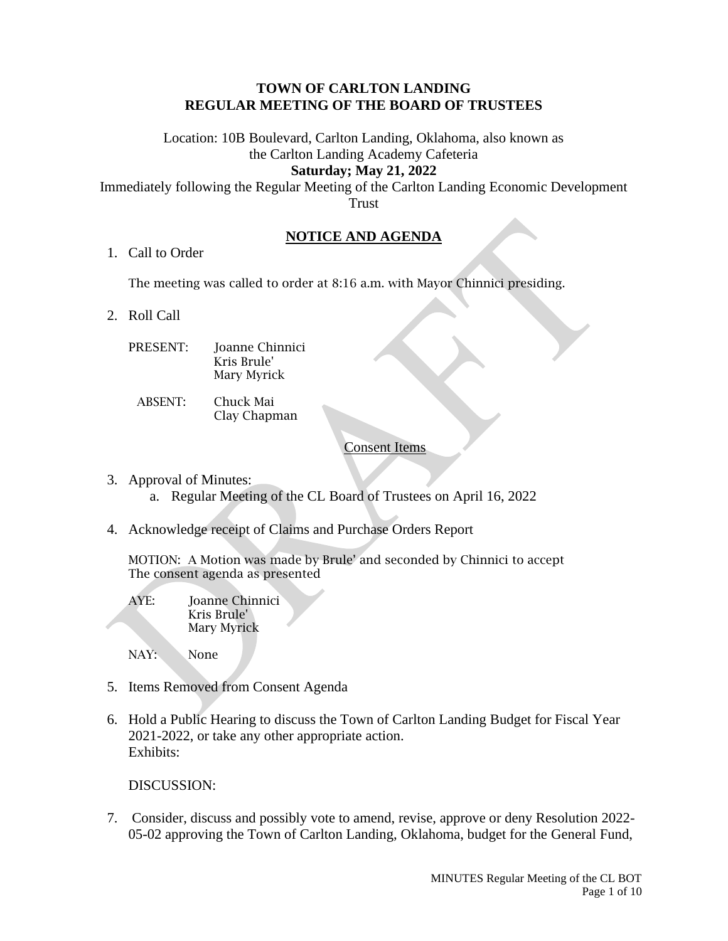### **TOWN OF CARLTON LANDING REGULAR MEETING OF THE BOARD OF TRUSTEES**

Location: 10B Boulevard, Carlton Landing, Oklahoma, also known as the Carlton Landing Academy Cafeteria **Saturday; May 21, 2022**

# Immediately following the Regular Meeting of the Carlton Landing Economic Development Trust

# **NOTICE AND AGENDA**

1. Call to Order

The meeting was called to order at 8:16 a.m. with Mayor Chinnici presiding.

- 2. Roll Call
	- PRESENT: Joanne Chinnici Kris Brule' Mary Myrick
		- ABSENT: Chuck Mai Clay Chapman

# Consent Items

- 3. Approval of Minutes:
	- a. Regular Meeting of the CL Board of Trustees on April 16, 2022
- 4. Acknowledge receipt of Claims and Purchase Orders Report

MOTION: A Motion was made by Brule' and seconded by Chinnici to accept The consent agenda as presented

AYE: Joanne Chinnici Kris Brule' Mary Myrick

NAY: None

- 5. Items Removed from Consent Agenda
- 6. Hold a Public Hearing to discuss the Town of Carlton Landing Budget for Fiscal Year 2021-2022, or take any other appropriate action. Exhibits:

DISCUSSION:

7. Consider, discuss and possibly vote to amend, revise, approve or deny Resolution 2022- 05-02 approving the Town of Carlton Landing, Oklahoma, budget for the General Fund,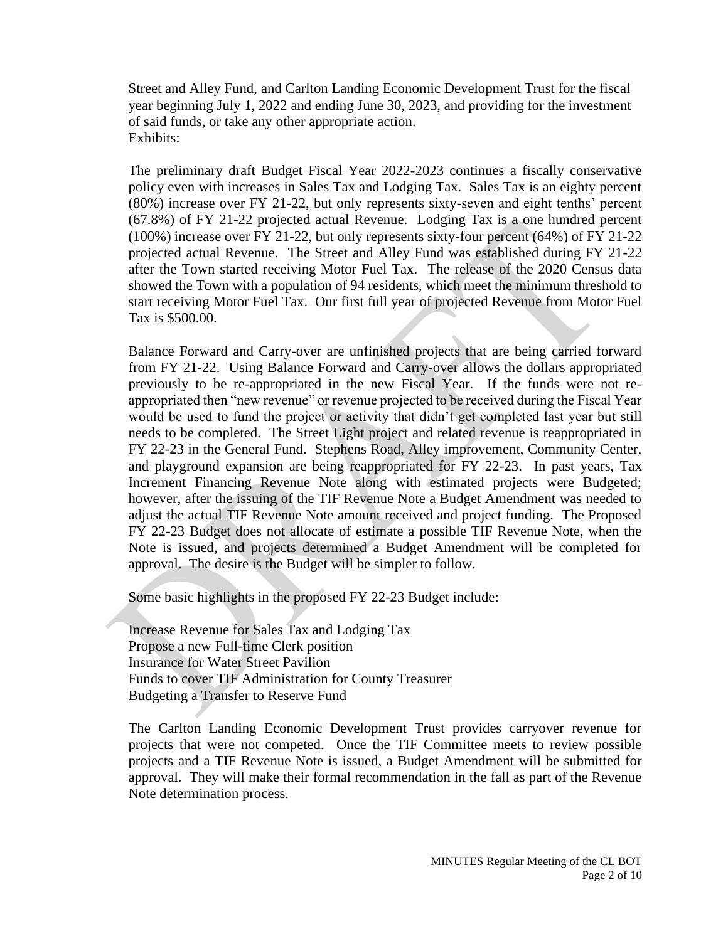Street and Alley Fund, and Carlton Landing Economic Development Trust for the fiscal year beginning July 1, 2022 and ending June 30, 2023, and providing for the investment of said funds, or take any other appropriate action. Exhibits:

The preliminary draft Budget Fiscal Year 2022-2023 continues a fiscally conservative policy even with increases in Sales Tax and Lodging Tax. Sales Tax is an eighty percent (80%) increase over FY 21-22, but only represents sixty-seven and eight tenths' percent (67.8%) of FY 21-22 projected actual Revenue. Lodging Tax is a one hundred percent (100%) increase over FY 21-22, but only represents sixty-four percent (64%) of FY 21-22 projected actual Revenue. The Street and Alley Fund was established during FY 21-22 after the Town started receiving Motor Fuel Tax. The release of the 2020 Census data showed the Town with a population of 94 residents, which meet the minimum threshold to start receiving Motor Fuel Tax. Our first full year of projected Revenue from Motor Fuel Tax is \$500.00.

Balance Forward and Carry-over are unfinished projects that are being carried forward from FY 21-22. Using Balance Forward and Carry-over allows the dollars appropriated previously to be re-appropriated in the new Fiscal Year. If the funds were not reappropriated then "new revenue" or revenue projected to be received during the Fiscal Year would be used to fund the project or activity that didn't get completed last year but still needs to be completed. The Street Light project and related revenue is reappropriated in FY 22-23 in the General Fund. Stephens Road, Alley improvement, Community Center, and playground expansion are being reappropriated for FY 22-23. In past years, Tax Increment Financing Revenue Note along with estimated projects were Budgeted; however, after the issuing of the TIF Revenue Note a Budget Amendment was needed to adjust the actual TIF Revenue Note amount received and project funding. The Proposed FY 22-23 Budget does not allocate of estimate a possible TIF Revenue Note, when the Note is issued, and projects determined a Budget Amendment will be completed for approval. The desire is the Budget will be simpler to follow.

Some basic highlights in the proposed FY 22-23 Budget include:

Increase Revenue for Sales Tax and Lodging Tax Propose a new Full-time Clerk position Insurance for Water Street Pavilion Funds to cover TIF Administration for County Treasurer Budgeting a Transfer to Reserve Fund

The Carlton Landing Economic Development Trust provides carryover revenue for projects that were not competed. Once the TIF Committee meets to review possible projects and a TIF Revenue Note is issued, a Budget Amendment will be submitted for approval. They will make their formal recommendation in the fall as part of the Revenue Note determination process.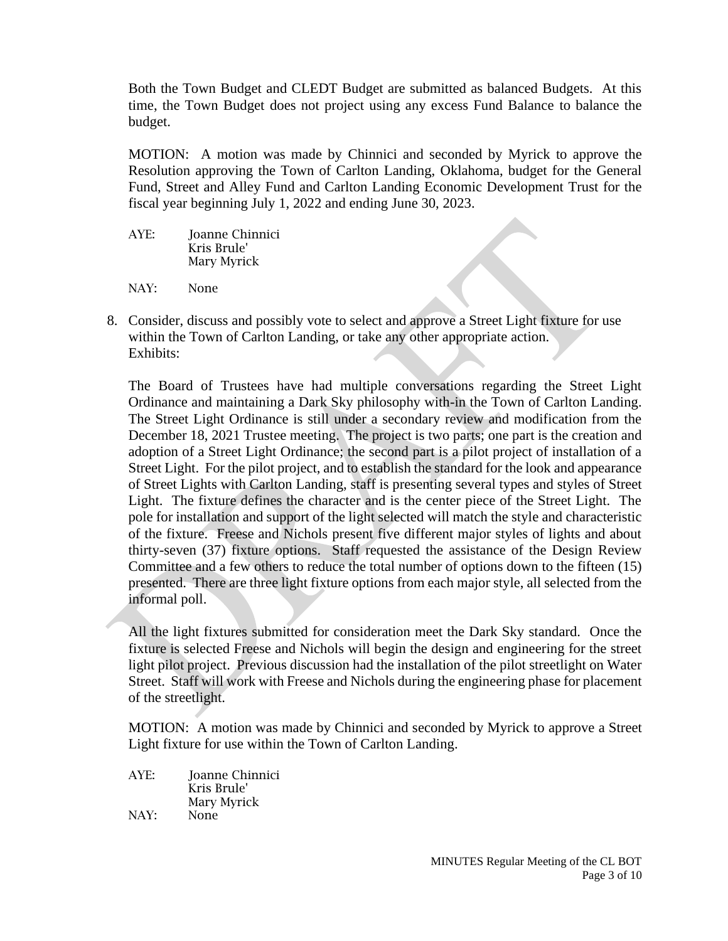Both the Town Budget and CLEDT Budget are submitted as balanced Budgets. At this time, the Town Budget does not project using any excess Fund Balance to balance the budget.

MOTION: A motion was made by Chinnici and seconded by Myrick to approve the Resolution approving the Town of Carlton Landing, Oklahoma, budget for the General Fund, Street and Alley Fund and Carlton Landing Economic Development Trust for the fiscal year beginning July 1, 2022 and ending June 30, 2023.

AYE: Joanne Chinnici Kris Brule' Mary Myrick

NAY: None

8. Consider, discuss and possibly vote to select and approve a Street Light fixture for use within the Town of Carlton Landing, or take any other appropriate action. Exhibits:

The Board of Trustees have had multiple conversations regarding the Street Light Ordinance and maintaining a Dark Sky philosophy with-in the Town of Carlton Landing. The Street Light Ordinance is still under a secondary review and modification from the December 18, 2021 Trustee meeting. The project is two parts; one part is the creation and adoption of a Street Light Ordinance; the second part is a pilot project of installation of a Street Light. For the pilot project, and to establish the standard for the look and appearance of Street Lights with Carlton Landing, staff is presenting several types and styles of Street Light. The fixture defines the character and is the center piece of the Street Light. The pole for installation and support of the light selected will match the style and characteristic of the fixture. Freese and Nichols present five different major styles of lights and about thirty-seven (37) fixture options. Staff requested the assistance of the Design Review Committee and a few others to reduce the total number of options down to the fifteen (15) presented. There are three light fixture options from each major style, all selected from the informal poll.

All the light fixtures submitted for consideration meet the Dark Sky standard. Once the fixture is selected Freese and Nichols will begin the design and engineering for the street light pilot project. Previous discussion had the installation of the pilot streetlight on Water Street. Staff will work with Freese and Nichols during the engineering phase for placement of the streetlight.

MOTION: A motion was made by Chinnici and seconded by Myrick to approve a Street Light fixture for use within the Town of Carlton Landing.

AYE: Joanne Chinnici Kris Brule' Mary Myrick NAY: None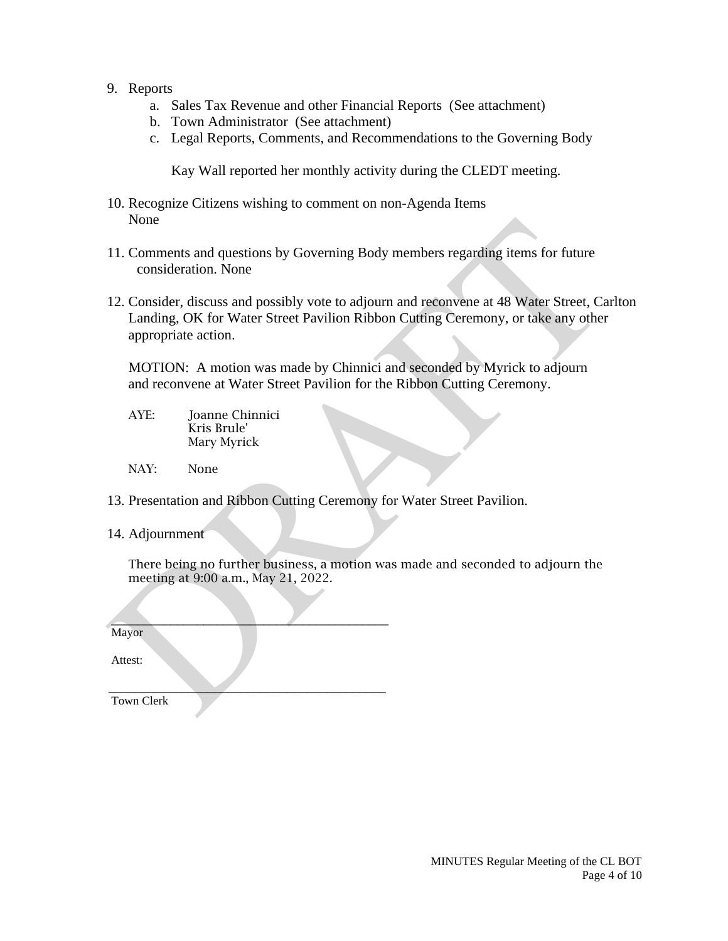- 9. Reports
	- a. Sales Tax Revenue and other Financial Reports (See attachment)
	- b. Town Administrator (See attachment)
	- c. Legal Reports, Comments, and Recommendations to the Governing Body

Kay Wall reported her monthly activity during the CLEDT meeting.

- 10. Recognize Citizens wishing to comment on non-Agenda Items None
- 11. Comments and questions by Governing Body members regarding items for future consideration. None
- 12. Consider, discuss and possibly vote to adjourn and reconvene at 48 Water Street, Carlton Landing, OK for Water Street Pavilion Ribbon Cutting Ceremony, or take any other appropriate action.

MOTION: A motion was made by Chinnici and seconded by Myrick to adjourn and reconvene at Water Street Pavilion for the Ribbon Cutting Ceremony.

- AYE: Joanne Chinnici Kris Brule' Mary Myrick
- NAY: None
- 13. Presentation and Ribbon Cutting Ceremony for Water Street Pavilion.
- 14. Adjournment

There being no further business, a motion was made and seconded to adjourn the meeting at 9:00 a.m., May 21, 2022.

 $\overline{\phantom{a}}$  , where  $\overline{\phantom{a}}$  , where  $\overline{\phantom{a}}$  , where  $\overline{\phantom{a}}$  , where  $\overline{\phantom{a}}$ Mayor

Attest:

 $\overline{\phantom{a}}$  ,  $\overline{\phantom{a}}$  ,  $\overline{\phantom{a}}$  ,  $\overline{\phantom{a}}$  ,  $\overline{\phantom{a}}$  ,  $\overline{\phantom{a}}$  ,  $\overline{\phantom{a}}$  ,  $\overline{\phantom{a}}$  ,  $\overline{\phantom{a}}$  ,  $\overline{\phantom{a}}$  ,  $\overline{\phantom{a}}$  ,  $\overline{\phantom{a}}$  ,  $\overline{\phantom{a}}$  ,  $\overline{\phantom{a}}$  ,  $\overline{\phantom{a}}$  ,  $\overline{\phantom{a}}$ Town Clerk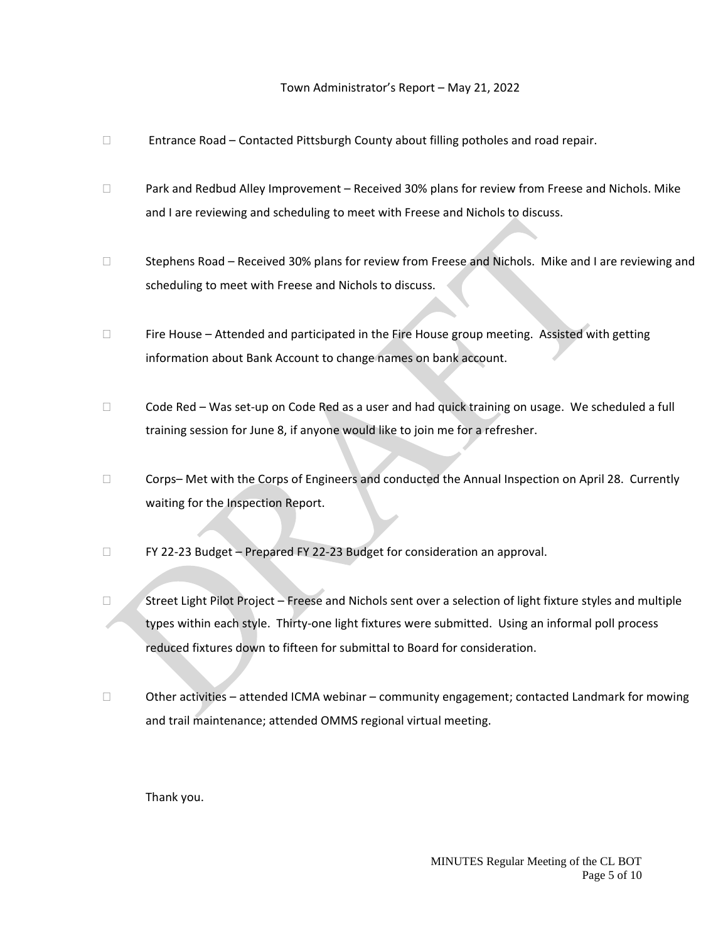### Town Administrator's Report – May 21, 2022

- $\Box$  Entrance Road Contacted Pittsburgh County about filling potholes and road repair.
- □ Park and Redbud Alley Improvement Received 30% plans for review from Freese and Nichols. Mike and I are reviewing and scheduling to meet with Freese and Nichols to discuss.
- □ Stephens Road Received 30% plans for review from Freese and Nichols. Mike and I are reviewing and scheduling to meet with Freese and Nichols to discuss.
- $\Box$  Fire House Attended and participated in the Fire House group meeting. Assisted with getting information about Bank Account to change names on bank account.
- $\Box$  Code Red Was set-up on Code Red as a user and had quick training on usage. We scheduled a full training session for June 8, if anyone would like to join me for a refresher.
- $\Box$  Corps– Met with the Corps of Engineers and conducted the Annual Inspection on April 28. Currently waiting for the Inspection Report.
- □ FY 22-23 Budget Prepared FY 22-23 Budget for consideration an approval.
- □ Street Light Pilot Project Freese and Nichols sent over a selection of light fixture styles and multiple types within each style. Thirty-one light fixtures were submitted. Using an informal poll process reduced fixtures down to fifteen for submittal to Board for consideration.
- $\Box$  Other activities attended ICMA webinar community engagement; contacted Landmark for mowing and trail maintenance; attended OMMS regional virtual meeting.

Thank you.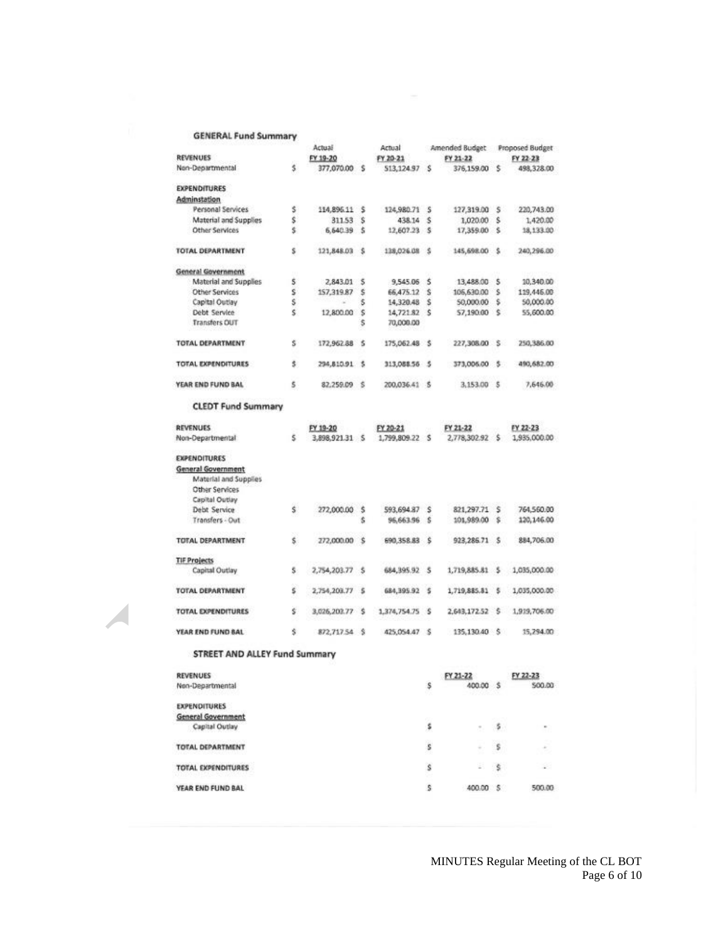### **GENERAL Fund Summary**

|                                             |    | Actual          |         | Actual          |          | Amended Budget Proposed Budget |     |              |
|---------------------------------------------|----|-----------------|---------|-----------------|----------|--------------------------------|-----|--------------|
| <b>REVENUES</b>                             |    | FY 19-20        |         | FY 20-21        |          | FY 21-22                       |     | FY 22-23     |
| Non-Departmental                            | 5  | 377,070.00 S    |         | 513,124.97 S    |          | 376,159.00                     | ి క | 498,328.00   |
| <b>EXPENDITURES</b>                         |    |                 |         |                 |          |                                |     |              |
| Adminstation                                |    |                 |         |                 |          |                                |     |              |
| Personal Services                           | Ś  | 114,896.11 \$   |         | 124,980.71      | s        | 127,319.00 \$                  |     | 220,743.00   |
| Material and Supplies                       | \$ | 311.53          | Ś       | 438.14          | ŝ        | 1,020.00                       | Ŝ   | 1.420.00     |
| Other Services                              | š  | 6,640.39 \$     |         | 12,607.23 S     |          | 17,359.00 \$                   |     | 18,133.00    |
| <b>TOTAL DEPARTMENT</b>                     | s  | 121,848.03      | s       | 138,026.08      | ుక       | 145,698.00                     | S.  | 240,296.00   |
| General Government                          |    |                 |         |                 |          |                                |     |              |
| Material and Supplies                       | Ś  | 2,843.01        | 5       | 9,545.06        | - 5      | 13,488.00                      | s   | 10,340.00    |
| <b>Other Services</b>                       | Ś  | 157,319.87      | š       | 66,475.12       | <b>S</b> | 106,630.00                     | s   | 119,446.00   |
| Capital Outlay                              | š  | $\sim$          | Ś       | 14,320.48 \$    |          | 50,000.00 \$                   |     | 50,000.00    |
| Debt Service                                | Ś  | 12,800.00       | s       | 14,721.82 S     |          | 57,190.00<br>- S               |     | 55,600.00    |
| <b>Transfers OUT</b>                        |    |                 | ŝ       | 70,000.00       |          |                                |     |              |
| <b>TOTAL DEPARTMENT</b>                     | Ś  | 172,962.88 \$   |         | 175,062.48 \$   |          | 227,308.00 \$                  |     | 250,386.00   |
| <b>TOTAL EXPENDITURES</b>                   | š  | 294,810.91 \$   |         | 313,088.56 \$   |          | 373,006.00 \$                  |     | 490,682.00   |
| YEAR END FUND BAL                           | Ś  | 82,259.09 \$    |         | 200,036.41 \$   |          | 3,153.00 \$                    |     | 7,646.00     |
| <b>CLEDT Fund Summary</b>                   |    |                 |         |                 |          |                                |     |              |
| <b>REVENUES</b>                             |    | FY 19-20        |         | FY 20-21        |          | FY 21-22                       |     | FY 22-23     |
| Non-Departmental                            | 5  | 3.898.921.31 \$ |         | 1,799,809.22 \$ |          | 2,778,302.92 \$                |     | 1,935,000.00 |
| <b>EXPENDITURES</b>                         |    |                 |         |                 |          |                                |     |              |
| General Government<br>Material and Supplies |    |                 |         |                 |          |                                |     |              |
| Other Services<br>Capital Outlay            |    |                 |         |                 |          |                                |     |              |
|                                             | Ś. |                 |         | 593,694.87      | .s       |                                |     | 764,560.00   |
| Debt Service<br>Transfers - Out             |    | 272,000.00      | \$<br>Ś | 96,663.96 \$    |          | 821,297.71 \$<br>101,989.00 \$ |     | 120,146.00   |
| TOTAL DEPARTMENT                            | Ś  | 272,000.00      | ŝ       | 690,358.83      | း        | 923,286.71 \$                  |     | 884,706.00   |
| <b>TIF Projects</b>                         |    |                 |         |                 |          |                                |     |              |
| Capital Outlay                              | s. | 2,754,203.77    | -S      | 684, 395.92     | -S       | 1,719,885.81 \$                |     | 1,035,000.00 |
| TOTAL DEPARTMENT                            | š  | 2,754,203.77    | s       | 684,395.92      | s        | 1,719,885.81                   | 5   | 1,035,000.00 |
| <b>TOTAL EXPENDITURES</b>                   | š  | 3,026,203.77 \$ |         | 1,374,754.75    | ∴\$      | 2,643,172.52 \$                |     | 1,919,706.00 |
| YEAR END FUND BAL                           | ś  | 872,717.54 \$   |         | 425,054.47 \$   |          | 135,130.40 \$                  |     | 15,294.00    |
| STREET AND ALLEY Fund Summary               |    |                 |         |                 |          |                                |     |              |
| <b>REVENUES</b>                             |    |                 |         |                 |          | FY 21-22                       |     | FY 22-23     |
| Non-Departmental                            |    |                 |         |                 | Ŝ        | 400.00 \$                      |     | 500.00       |
| <b>EXPENDITURES</b>                         |    |                 |         |                 |          |                                |     |              |
| <b>General Government</b>                   |    |                 |         |                 |          |                                |     |              |
|                                             |    |                 |         |                 | a        |                                |     |              |

| 10: 삼 달 1 전에 있는 외에 대한 11 전에 대한 11 전에 대한 1                          | <b>MAG</b> | コンドルコン アインドリンスプレ |     | <b><i>POLICE COLLE</i></b> |
|--------------------------------------------------------------------|------------|------------------|-----|----------------------------|
| <b>EXPENDITURES</b><br><b>General Government</b><br>Capital Outlay | s          | ٠                | - 5 | $\sim$                     |
| <b>TOTAL DEPARTMENT</b>                                            | s          | $\sim$           | - 5 | £,                         |
| TOTAL EXPENDITURES                                                 | s          | ÷                | s   |                            |
| YEAR END FUND BAL                                                  |            | 400.00           | - 5 | 500.00                     |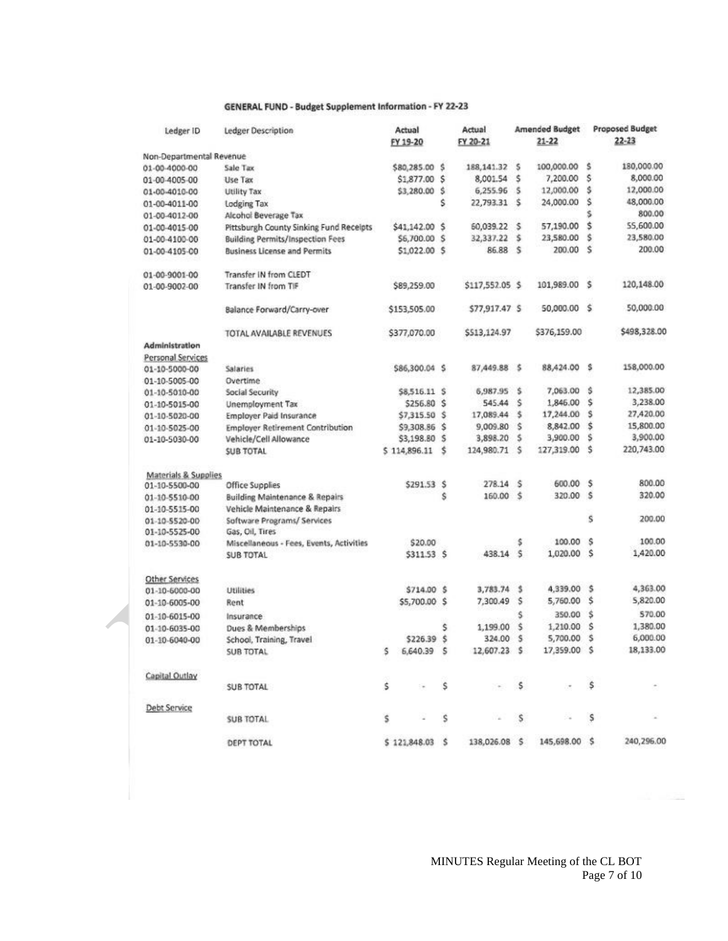#### GENERAL FUND - Budget Supplement Information - FY 22-23

| Ledger ID                                        | Ledger Description                         | Actual                     |              | Actual                 |                     | <b>Amended Budget</b> | <b>Proposed Budget</b> |                       |  |
|--------------------------------------------------|--------------------------------------------|----------------------------|--------------|------------------------|---------------------|-----------------------|------------------------|-----------------------|--|
|                                                  |                                            | FY 19-20                   |              | FY 20-21               |                     | $21 - 22$             |                        | $22 - 23$             |  |
| Non-Departmental Revenue                         |                                            |                            |              |                        |                     |                       |                        |                       |  |
| 01-00-4000-00                                    | Sale Tax                                   | \$80,285.00 \$             |              | 188, 141.32            | s                   | 100,000.00            | ŝ                      | 180,000.00            |  |
| 01-00-4005-00                                    | Use Tax                                    | \$1,877.00                 | \$           | 8,001.54               | ŝ                   | 7,200.00              | Ś                      | 8,000.00              |  |
| 01-00-4010-00                                    | Utility Tax                                | \$3,280.00                 | Ś            | 6,255.96               | .s                  | 12,000.00             | Ś.                     | 12,000.00             |  |
| 01-00-4011-00                                    | Lodging Tax                                |                            | Ś            | 22,793.31              | :S                  | 24,000.00             | Ś                      | 48,000.00             |  |
| 01-00-4012-00                                    | Alcohol Beverage Tax                       |                            |              |                        |                     |                       | s                      | 800.00                |  |
| 01-00-4015-00                                    | Pittsburgh County Sinking Fund Receipts    | \$41,142.00                | ŝ            | 60,039.22              | .s                  | 57,190.00             | \$                     | 55,600.00             |  |
| 01-00-4100-00                                    | <b>Building Permits/Inspection Fees</b>    | \$6,700.00                 | <b>S</b>     | 32,337.22              | s                   | 23,580.00             | Ś                      | 23,580.00             |  |
| 01-00-4105-00                                    | <b>Business License and Permits</b>        | \$1,022.00 \$              |              | 86.88                  | s                   | 200.00                | Ś                      | 200.00                |  |
| 01-00-9001-00                                    | Transfer IN from CLEDT                     |                            |              |                        |                     |                       |                        |                       |  |
| 01-00-9002-00                                    | Transfer IN from TIF                       | \$89,259.00                |              | \$117,552.05 \$        |                     | 101,989.00            | s                      | 120,148.00            |  |
|                                                  | Balance Forward/Carry-over                 | \$153,505.00               |              | \$77,917.47 \$         |                     | 50,000.00             | s                      | 50,000.00             |  |
|                                                  | TOTAL AVAILABLE REVENUES                   | \$377,070.00               |              | \$513,124.97           |                     | \$376,159.00          |                        | \$498,328.00          |  |
| Administration                                   |                                            |                            |              |                        |                     |                       |                        |                       |  |
| Personal Services                                |                                            |                            |              |                        |                     |                       |                        |                       |  |
| 01-10-5000-00                                    | Salaries                                   | \$86,300.04 \$             |              | 87,449.88              | ుక                  | 88,424.00             | s                      | 158,000.00            |  |
| 01-10-5005-00                                    | Overtime                                   |                            |              |                        |                     |                       | ŝ                      | 12,385.00             |  |
| 01-10-5010-00                                    | Social Security                            | \$8,516.11 \$              |              | 5,987.95               | ి క                 | 7,063.00              | \$                     |                       |  |
| 01-10-5015-00                                    | Unemployment Tax                           | \$256.80                   | ŝ            | 545.44                 | Ś                   | 1,846.00              | s                      | 3,238.00<br>27,420.00 |  |
| 01-10-5020-00                                    | <b>Employer Paid Insurance</b>             | \$7,315.50                 | <sub>S</sub> | 17,089.44              | š                   | 17,244.00             | \$                     |                       |  |
| 01-10-5025-00                                    | <b>Employer Retirement Contribution</b>    | \$9,308.86                 | ŝ            | 9,009.80               | ŝ<br>\$             | 8,842.00<br>3,900.00  | s                      | 15,800.00<br>3,900.00 |  |
| 01-10-5030-00                                    | Vehicle/Cell Allowance<br><b>SUB TOTAL</b> | \$3,198.80<br>\$114,896.11 | s<br>\$      | 3,898.20<br>124,980.71 | s                   | 127,319.00            | Ś                      | 220,743.00            |  |
|                                                  |                                            |                            |              |                        |                     |                       |                        |                       |  |
| <b>Materials &amp; Supplies</b><br>01-10-5500-00 | Office Supplies                            | \$291.53 \$                |              | 278.14                 | .s                  | 600.00                | -\$                    | 800.00                |  |
|                                                  | <b>Building Maintenance &amp; Repairs</b>  |                            | Ŝ            | 160.00                 | $\ddot{\mathbf{5}}$ | 320.00                | s                      | 320.00                |  |
| 01-10-5510-00<br>01-10-5515-00                   | Vehicle Maintenance & Repairs              |                            |              |                        |                     |                       |                        |                       |  |
| 01-10-5520-00                                    | Software Programs/ Services                |                            |              |                        |                     |                       | s                      | 200.00                |  |
| 01-10-5525-00                                    | Gas, Oil, Tires                            |                            |              |                        |                     |                       |                        |                       |  |
| 01-10-5530-00                                    | Miscellaneous - Fees, Events, Activities   | \$20.00                    |              |                        | s                   | 100.00                | s                      | 100.00                |  |
|                                                  | <b>SUB TOTAL</b>                           | \$311.53 \$                |              | 438.14                 | s                   | 1,020.00              | S                      | 1,420.00              |  |
|                                                  |                                            |                            |              |                        |                     |                       |                        |                       |  |
| Other Services                                   |                                            |                            |              | 3,783.74               | \$                  | 4,339.00              | s                      | 4,363.00              |  |
| 01-10-6000-00                                    | <b>Utilities</b>                           | \$714.00                   | ŝ            | 7,300.49               | s                   |                       | \$                     | 5,820.00              |  |
| 01-10-6005-00                                    | Rent                                       | \$5,700.00                 | ŝ            |                        |                     | 5,760.00              |                        |                       |  |
| 01-10-6015-00                                    | Insurance                                  |                            |              |                        | Ś.                  | 350.00                | \$                     | 570.00                |  |
| 01-10-6035-00                                    | Dues & Memberships                         |                            | s            | 1,199.00               | ŝ                   | 1,210.00              | Ś                      | 1,380.00              |  |
| 01-10-6040-00                                    | School, Training, Travel                   | \$226.39                   | .Ŝ           | 324.00                 | s                   | 5,700.00              | \$                     | 6,000.00              |  |
|                                                  | <b>SUB TOTAL</b>                           | 6,640.39<br>s              | s            | 12,607.23              | .s                  | 17,359.00             | s                      | 18,133.00             |  |
| Capital Outlay                                   |                                            |                            |              |                        |                     |                       |                        |                       |  |
|                                                  | <b>SUB TOTAL</b>                           | \$                         | \$           |                        | $\sim$              |                       | \$                     |                       |  |
| Debt Service                                     |                                            |                            |              | Via                    |                     |                       | S                      |                       |  |
|                                                  | SUB TOTAL                                  | s.                         |              | s                      | s                   |                       |                        |                       |  |
|                                                  | DEPT TOTAL                                 | \$121,848.03 \$            |              | 138,026.08 \$          |                     | 145,698.00 \$         |                        | 240,296.00            |  |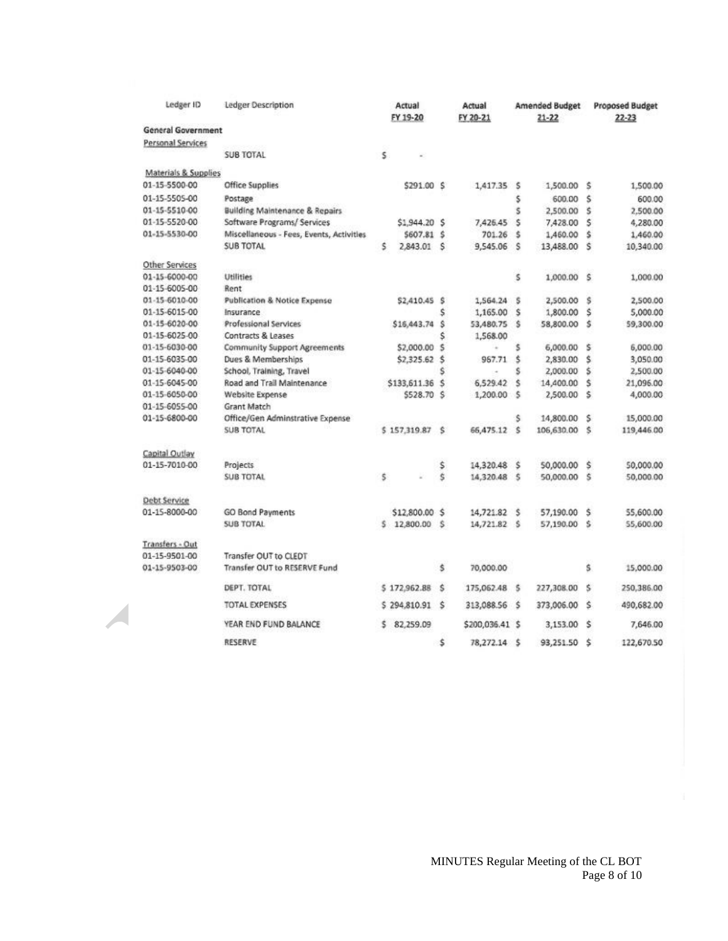| Ledger ID                 | Ledger Description                        | Actual          |              | Actual          |     | <b>Amended Budget</b> |     | <b>Proposed Budget</b> |  |  |
|---------------------------|-------------------------------------------|-----------------|--------------|-----------------|-----|-----------------------|-----|------------------------|--|--|
|                           |                                           | FY 19-20        |              | FY 20-21        |     | $21 - 22$             |     | $22 - 23$              |  |  |
| <b>General Government</b> |                                           |                 |              |                 |     |                       |     |                        |  |  |
| <b>Personal Services</b>  |                                           |                 |              |                 |     |                       |     |                        |  |  |
|                           | <b>SUB TOTAL</b>                          | \$              |              |                 |     |                       |     |                        |  |  |
| Materials & Supplies      |                                           |                 |              |                 |     |                       |     |                        |  |  |
| 01-15-5500-00             | <b>Office Supplies</b>                    | \$291.00 \$     |              | 1,417.35 \$     |     | 1,500.00              | Š.  | 1,500.00               |  |  |
| 01-15-5505-00             | Postage                                   |                 |              |                 | \$  | 600.00                | Ś   | 600.00                 |  |  |
| 01-15-5510-00             | <b>Building Maintenance &amp; Repairs</b> |                 |              |                 | š   | 2,500.00              | š   | 2,500.00               |  |  |
| 01-15-5520-00             | Software Programs/ Services               | \$1,944.20 \$   |              | 7,425.45        | s   | 7,428.00              | Ś   | 4,280.00               |  |  |
| 01-15-5530-00             | Miscellaneous - Fees, Events, Activities  | \$607.81        | S.           | 701.26          | \$  | 1,460.00              | Ŝ   | 1,460.00               |  |  |
|                           | <b>SUB TOTAL</b>                          | Ś.<br>2,843.01  | S            | 9,545.06        | s   | 13,488.00             | Ś   | 10,340.00              |  |  |
| Other Services            |                                           |                 |              |                 |     |                       |     |                        |  |  |
| 01-15-6000-00             | <b>Utilities</b>                          |                 |              |                 | Ś   | 1,000.00              | s   | 1,000.00               |  |  |
| 01-15-6005-00             | Rent                                      |                 |              |                 |     |                       |     |                        |  |  |
| 01-15-6010-00             | <b>Publication &amp; Notice Expense</b>   | \$2,410.45 \$   |              | 1,564.24        | -S  | 2,500.00              | Ŝ   | 2,500.00               |  |  |
| 01-15-6015-00             | Insurance                                 |                 | Ś            | 1,165.00        | Ś   | 1,800.00              | Š   | 5,000.00               |  |  |
| 01-15-6020-00             | Professional Services                     | \$16,443.74     | Ś            | 53,480.75       | s   | 58,800.00             | ŝ   | 59,300.00              |  |  |
| 01-15-6025-00             | Contracts & Leases                        |                 | Ś            | 1,568.00        |     |                       |     |                        |  |  |
| 01-15-6030-00             | <b>Community Support Agreements</b>       | \$2,000.00      | <sub>5</sub> |                 | \$  | 6,000.00              | \$  | 6,000.00               |  |  |
| 01-15-6035-00             | Dues & Memberships                        | \$2,325.62      | Ś            | 967.71          | ŝ   | 2,830.00              | Ś   | 3,050.00               |  |  |
| 01-15-6040-00             | School, Training, Travel                  |                 | Ś            | $\sim$          | s   | 2,000.00              | \$  | 2,500.00               |  |  |
| 01-15-6045-00             | Road and Trail Maintenance                | \$133,611.36    | \$           | 6,529.42        | Š   | 14,400.00             | Ś   | 21,096.00              |  |  |
| 01-15-6050-00             | Website Expense                           | S528.70 S       |              | 1,200.00        | .s  | 2,500.00              | Ś   | 4,000.00               |  |  |
| 01-15-6055-00             | <b>Grant Match</b>                        |                 |              |                 |     |                       |     |                        |  |  |
| 01-15-6800-00             | Office/Gen Adminstrative Expense          |                 |              |                 | Ś.  | 14,800.00             | Ś   | 15,000.00              |  |  |
|                           | <b>SUB TOTAL</b>                          | 5 157,319.87    | \$           | 66,475.12       | `\$ | 106,630.00            | š   | 119,446.00             |  |  |
| Capital Outlay            |                                           |                 |              |                 |     |                       |     |                        |  |  |
| 01-15-7010-00             | Projects                                  |                 | \$           | 14,320.48       | - S | 50,000.00             | \$  | 50,000.00              |  |  |
|                           | <b>SUB TOTAL</b>                          | \$              | Ś            | 14,320.48       | - 5 | 50,000.00             | š   | 50,000.00              |  |  |
|                           |                                           |                 |              |                 |     |                       |     |                        |  |  |
| Debt Service              |                                           |                 |              |                 |     |                       |     |                        |  |  |
| 01-15-8000-00             | <b>GO Bond Payments</b>                   | \$12,800.00 \$  |              | 14,721.82       | -5  | 57,190.00             | Ś.  | 55,600.00              |  |  |
|                           | <b>SUB TOTAL</b>                          | \$12,800.00     | .s           | 14,721.82 \$    |     | 57,190.00             | s   | 55,600.00              |  |  |
| Transfers - Out           |                                           |                 |              |                 |     |                       |     |                        |  |  |
| 01-15-9501-00             | Transfer OUT to CLEDT                     |                 |              |                 |     |                       |     |                        |  |  |
| 01-15-9503-00             | Transfer OUT to RESERVE Fund              |                 | \$           | 70,000.00       |     |                       | \$. | 15,000.00              |  |  |
|                           | DEPT. TOTAL                               | \$172,962.88    | s            | 175,062.48      | -S  | 227,308.00            | s   | 250,386.00             |  |  |
|                           | <b>TOTAL EXPENSES</b>                     | \$294,810.91    | ŝ            | 313,088.56      | ుక  | 373,006.00            | Ŝ.  | 490,682.00             |  |  |
|                           |                                           |                 |              |                 |     |                       |     |                        |  |  |
|                           | YEAR END FUND BALANCE                     | 82,259.09<br>s. |              | \$200,036.41 \$ |     | 3,153.00              | \$  | 7,646.00               |  |  |
|                           | RESERVE                                   |                 | \$           | 78,272.14 \$    |     | 93,251.50             | \$  | 122,670.50             |  |  |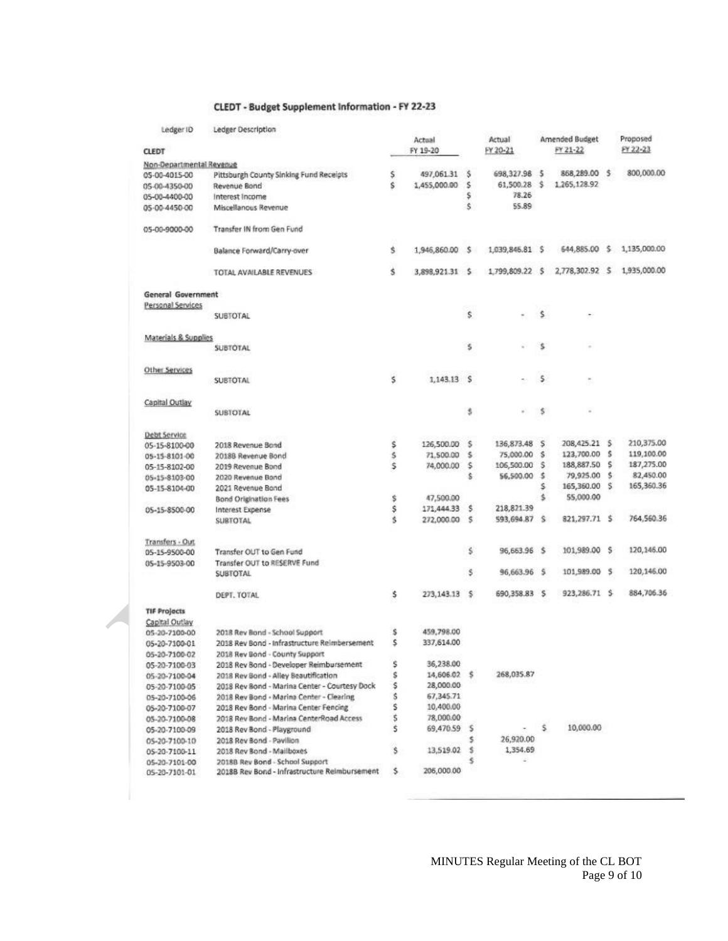#### CLEDT - Budget Supplement Information - FY 22-23

| Ledger ID                 | Ledger Description                            |        |                 |        |                 |     |                 |    |                            |
|---------------------------|-----------------------------------------------|--------|-----------------|--------|-----------------|-----|-----------------|----|----------------------------|
|                           |                                               |        | Actual          |        | Actual          |     | Amended Budget  |    | Proposed                   |
| <b>CLEDT</b>              |                                               |        | FY 19-20        |        | FY 20-21        |     | FY 21-22        |    | FY 22-23                   |
| Non-Departmental Revenue  |                                               |        |                 |        |                 |     |                 |    |                            |
| 05-00-4015-00             | Pittsburgh County Sinking Fund Receipts       | \$     | 497,061.31 \$   |        | 698,327.98      | -5  | 868,289.00 \$   |    | 800,000.00                 |
| 05-00-4350-00             | Revenue Bond                                  | Ś.     | 1,455,000.00    | s      | 61,500.28       | .s  | 1,265,128.92    |    |                            |
| 05-00-4400-00             | Interest Income                               |        |                 | \$     | 78.26           |     |                 |    |                            |
| 05-00-4450-00             | Miscellanous Revenue                          |        |                 | Ŝ.     | 55.89           |     |                 |    |                            |
| 05-00-9000-00             | Transfer IN from Gen Fund                     |        |                 |        |                 |     |                 |    |                            |
|                           | Balance Forward/Carry-over                    | Ś.     | 1,946,860.00    | .s     | 1,039,846.81 \$ |     |                 |    | 644,885.00 \$ 1,135,000.00 |
|                           | TOTAL AVAILABLE REVENUES                      | Ś.     | 3,898,921.31 \$ |        | 1,799,809.22 \$ |     | 2,778,302.92 \$ |    | 1,935,000.00               |
| <b>General Government</b> |                                               |        |                 |        |                 |     |                 |    |                            |
| Personal Services         |                                               |        |                 |        |                 |     |                 |    |                            |
|                           | SUBTOTAL                                      |        |                 | \$     | ×.              | s.  |                 |    |                            |
| Materials & Supplies      |                                               |        |                 |        |                 |     |                 |    |                            |
|                           | SUBTOTAL                                      |        |                 | \$     |                 | s.  |                 |    |                            |
| Other Services            |                                               |        |                 |        |                 | s.  | $\equiv$        |    |                            |
|                           | <b>SUBTOTAL</b>                               | $\leq$ | $1.143.13$ S    |        |                 |     |                 |    |                            |
| Capital Outlay            |                                               |        |                 |        |                 | s   |                 |    |                            |
|                           | SUBTOTAL                                      |        |                 | \$     |                 |     |                 |    |                            |
| Debt Service              |                                               |        |                 |        |                 |     |                 |    |                            |
| 05-15-8100-00             | 2018 Revenue Bond                             | \$     | 126,500.00      | s      | 136,873.48      | s   | 208,425.21 \$   |    | 210,375.00                 |
| 05-15-8101-00             | 2018B Revenue Bond                            | Ś      | 71,500.00       | s.     | 75,000.00       | s   | 123,700.00      | s  | 119,100.00                 |
| 05-15-8102-00             | 2019 Revenue Bond                             | Ŝ      | 74,000.00       | \$     | 106,500.00      | \$  | 188,887.50      | s  | 187,275.00                 |
| 05-15-8103-00             | 2020 Revenue Bond                             |        |                 | ŝ      | 56,500.00       | \$  | 79,925.00       | s. | 82,450.00                  |
| 05-15-8104-00             | 2021 Revenue Bond                             |        |                 |        |                 | s   | 165,360.00 \$   |    | 165,360.36                 |
|                           | Bond Origination Fees                         | \$     | 47,500.00       |        |                 | ś   | 55,000.00       |    |                            |
| 05-15-8500-00             | Interest Expense                              | \$     | 171,444.33      | s      | 218,821.39      |     |                 |    |                            |
|                           | <b>SUBTOTAL</b>                               | ś      | 272,000.00      | s      | 593,694.87      | s   | 821,297.71 \$   |    | 764,560.36                 |
| Transfers - Out           |                                               |        |                 |        |                 |     |                 |    |                            |
| 05-15-9500-00             | Transfer OUT to Gen Fund                      |        |                 | \$     | 96,663.96       | - 5 | 101,989.00 \$   |    | 120,146.00                 |
| 05-15-9503-00             | Transfer OUT to RESERVE Fund                  |        |                 |        |                 |     |                 |    |                            |
|                           | <b>SUBTOTAL</b>                               |        |                 | Ś.     | 96,663.96       | \$  | 101,989.00 \$   |    | 120,146.00                 |
|                           | DEPT, TOTAL                                   | \$     | 273, 143.13     | $\sim$ | 690,358.83      | -S  | 923,286.71 \$   |    | 884,706.36                 |
| <b>TIF Projects</b>       |                                               |        |                 |        |                 |     |                 |    |                            |
| Capital Outlay            |                                               |        |                 |        |                 |     |                 |    |                            |
| 05-20-7100-00             | 2018 Rev Bond - School Support                | \$     | 459,798.00      |        |                 |     |                 |    |                            |
| 05-20-7100-01             | 2018 Rev Bond - Infrastructure Reimbersement  | \$     | 337.614.00      |        |                 |     |                 |    |                            |
| 05-20-7100-02             | 2018 Rev Bond - County Support                |        |                 |        |                 |     |                 |    |                            |
| 05-20-7100-03             | 2018 Rev Bond - Developer Reimbursement       | \$     | 36,238.00       |        |                 |     |                 |    |                            |
| 05-20-7100-04             | 2018 Rev Bond - Alley Beautification          | \$     | 14,606.02 \$    |        | 268,035.87      |     |                 |    |                            |
| 05-20-7100-05             | 2018 Rev Bond - Marina Center - Courtesy Dock | \$     | 28,000.00       |        |                 |     |                 |    |                            |
| 05-20-7100-06             | 2018 Rev Bond - Marina Center - Clearing      | \$     | 67,345.71       |        |                 |     |                 |    |                            |
| 05-20-7100-07             | 2018 Rev Bond - Marina Center Fencing         | \$     | 10,400.00       |        |                 |     |                 |    |                            |
| 05-20-7100-08             | 2018 Rev Bond - Marina CenterRoad Access      | \$     | 78,000.00       |        |                 |     |                 |    |                            |
| 05-20-7100-09             | 2018 Rev Bond - Playground                    | \$     | 69,470.59       | s      |                 | \$. | 10,000.00       |    |                            |
| 05-20-7100-10             | 2018 Rev Bond - Pavilion                      |        |                 | \$     | 26,920.00       |     |                 |    |                            |
| 05-20-7100-11             | 2018 Rev Bond - Mailboxes                     | \$     | 13,519.02       | s      | 1,354.69        |     |                 |    |                            |
| 05-20-7101-00             | 2018B Rev Bond - School Support               |        |                 | s      |                 |     |                 |    |                            |
| 05-20-7101-01             | 2018B Rev Bond - Infrastructure Reimbursement | s.     | 206,000.00      |        |                 |     |                 |    |                            |